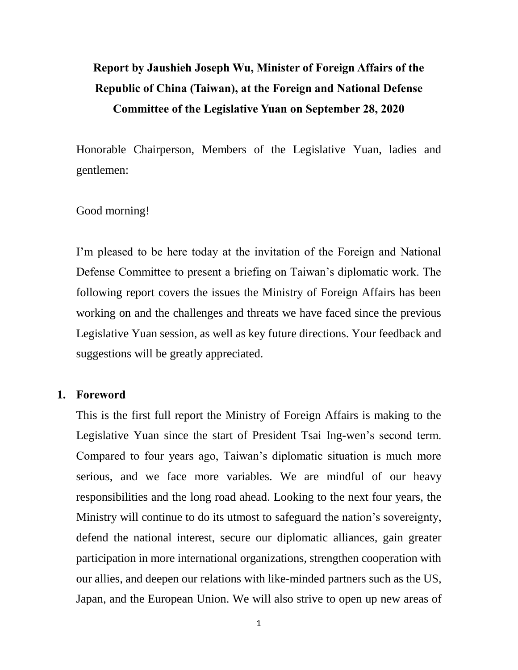# **Report by Jaushieh Joseph Wu, Minister of Foreign Affairs of the Republic of China (Taiwan), at the Foreign and National Defense Committee of the Legislative Yuan on September 28, 2020**

Honorable Chairperson, Members of the Legislative Yuan, ladies and gentlemen:

### Good morning!

I'm pleased to be here today at the invitation of the Foreign and National Defense Committee to present a briefing on Taiwan's diplomatic work. The following report covers the issues the Ministry of Foreign Affairs has been working on and the challenges and threats we have faced since the previous Legislative Yuan session, as well as key future directions. Your feedback and suggestions will be greatly appreciated.

#### **1. Foreword**

This is the first full report the Ministry of Foreign Affairs is making to the Legislative Yuan since the start of President Tsai Ing-wen's second term. Compared to four years ago, Taiwan's diplomatic situation is much more serious, and we face more variables. We are mindful of our heavy responsibilities and the long road ahead. Looking to the next four years, the Ministry will continue to do its utmost to safeguard the nation's sovereignty, defend the national interest, secure our diplomatic alliances, gain greater participation in more international organizations, strengthen cooperation with our allies, and deepen our relations with like-minded partners such as the US, Japan, and the European Union. We will also strive to open up new areas of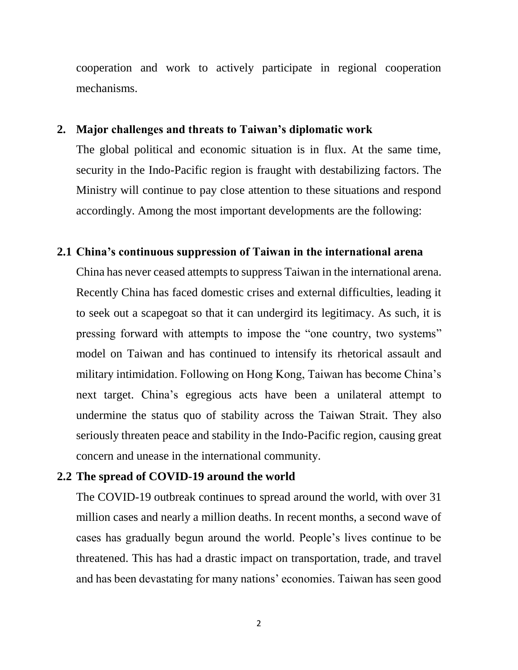cooperation and work to actively participate in regional cooperation mechanisms.

#### **2. Major challenges and threats to Taiwan's diplomatic work**

The global political and economic situation is in flux. At the same time, security in the Indo-Pacific region is fraught with destabilizing factors. The Ministry will continue to pay close attention to these situations and respond accordingly. Among the most important developments are the following:

#### **2.1 China's continuous suppression of Taiwan in the international arena**

China has never ceased attempts to suppress Taiwan in the international arena. Recently China has faced domestic crises and external difficulties, leading it to seek out a scapegoat so that it can undergird its legitimacy. As such, it is pressing forward with attempts to impose the "one country, two systems" model on Taiwan and has continued to intensify its rhetorical assault and military intimidation. Following on Hong Kong, Taiwan has become China's next target. China's egregious acts have been a unilateral attempt to undermine the status quo of stability across the Taiwan Strait. They also seriously threaten peace and stability in the Indo-Pacific region, causing great concern and unease in the international community.

#### **2.2 The spread of COVID-19 around the world**

The COVID-19 outbreak continues to spread around the world, with over 31 million cases and nearly a million deaths. In recent months, a second wave of cases has gradually begun around the world. People's lives continue to be threatened. This has had a drastic impact on transportation, trade, and travel and has been devastating for many nations' economies. Taiwan has seen good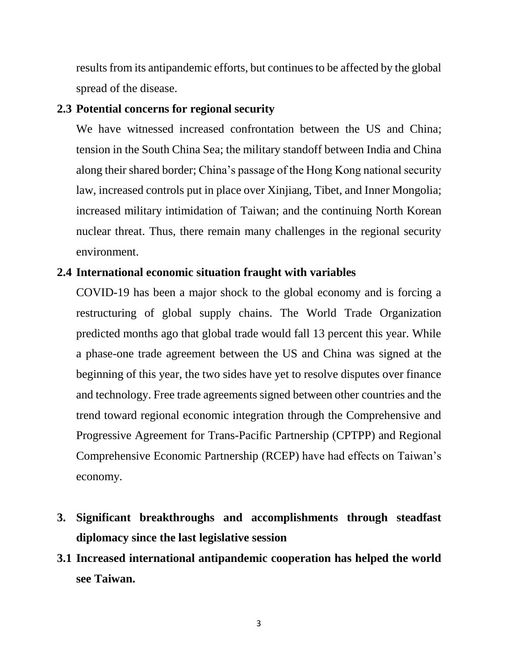results from its antipandemic efforts, but continues to be affected by the global spread of the disease.

### **2.3 Potential concerns for regional security**

We have witnessed increased confrontation between the US and China; tension in the South China Sea; the military standoff between India and China along their shared border; China's passage of the Hong Kong national security law, increased controls put in place over Xinjiang, Tibet, and Inner Mongolia; increased military intimidation of Taiwan; and the continuing North Korean nuclear threat. Thus, there remain many challenges in the regional security environment.

### **2.4 International economic situation fraught with variables**

COVID-19 has been a major shock to the global economy and is forcing a restructuring of global supply chains. The World Trade Organization predicted months ago that global trade would fall 13 percent this year. While a phase-one trade agreement between the US and China was signed at the beginning of this year, the two sides have yet to resolve disputes over finance and technology. Free trade agreements signed between other countries and the trend toward regional economic integration through the Comprehensive and Progressive Agreement for Trans-Pacific Partnership (CPTPP) and Regional Comprehensive Economic Partnership (RCEP) have had effects on Taiwan's economy.

- **3. Significant breakthroughs and accomplishments through steadfast diplomacy since the last legislative session**
- **3.1 Increased international antipandemic cooperation has helped the world see Taiwan.**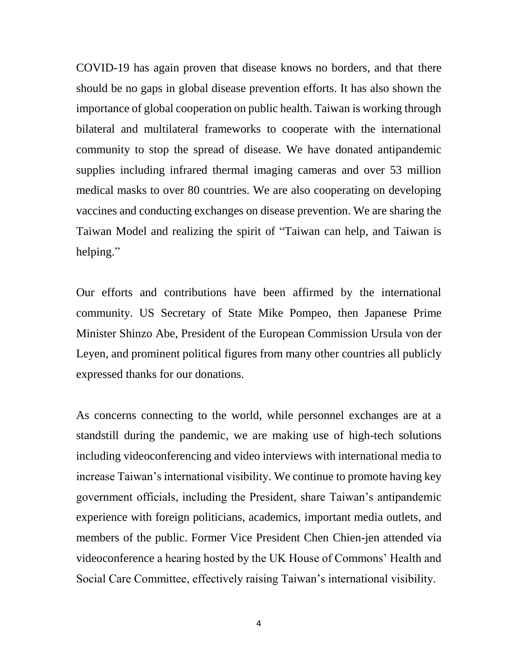COVID-19 has again proven that disease knows no borders, and that there should be no gaps in global disease prevention efforts. It has also shown the importance of global cooperation on public health. Taiwan is working through bilateral and multilateral frameworks to cooperate with the international community to stop the spread of disease. We have donated antipandemic supplies including infrared thermal imaging cameras and over 53 million medical masks to over 80 countries. We are also cooperating on developing vaccines and conducting exchanges on disease prevention. We are sharing the Taiwan Model and realizing the spirit of "Taiwan can help, and Taiwan is helping."

Our efforts and contributions have been affirmed by the international community. US Secretary of State Mike Pompeo, then Japanese Prime Minister Shinzo Abe, President of the European Commission Ursula von der Leyen, and prominent political figures from many other countries all publicly expressed thanks for our donations.

As concerns connecting to the world, while personnel exchanges are at a standstill during the pandemic, we are making use of high-tech solutions including videoconferencing and video interviews with international media to increase Taiwan's international visibility. We continue to promote having key government officials, including the President, share Taiwan's antipandemic experience with foreign politicians, academics, important media outlets, and members of the public. Former Vice President Chen Chien-jen attended via videoconference a hearing hosted by the UK House of Commons' Health and Social Care Committee, effectively raising Taiwan's international visibility.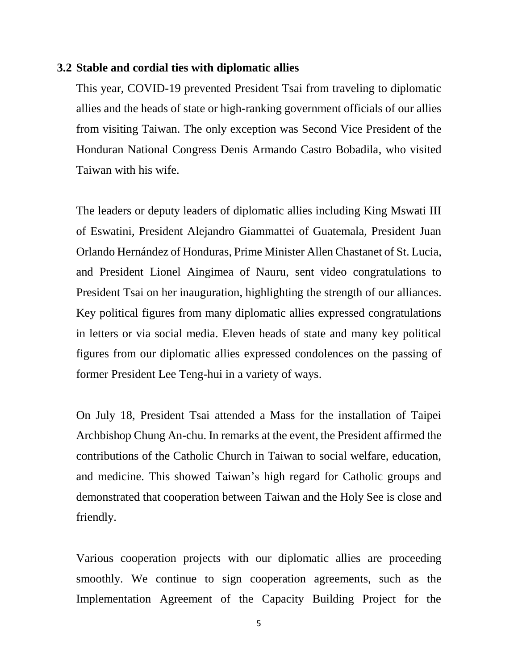#### **3.2 Stable and cordial ties with diplomatic allies**

This year, COVID-19 prevented President Tsai from traveling to diplomatic allies and the heads of state or high-ranking government officials of our allies from visiting Taiwan. The only exception was Second Vice President of the Honduran National Congress Denis Armando Castro Bobadila, who visited Taiwan with his wife.

The leaders or deputy leaders of diplomatic allies including King Mswati III of Eswatini, President Alejandro Giammattei of Guatemala, President Juan Orlando Hernández of Honduras, Prime Minister Allen Chastanet of St. Lucia, and President Lionel Aingimea of Nauru, sent video congratulations to President Tsai on her inauguration, highlighting the strength of our alliances. Key political figures from many diplomatic allies expressed congratulations in letters or via social media. Eleven heads of state and many key political figures from our diplomatic allies expressed condolences on the passing of former President Lee Teng-hui in a variety of ways.

On July 18, President Tsai attended a Mass for the installation of Taipei Archbishop Chung An-chu. In remarks at the event, the President affirmed the contributions of the Catholic Church in Taiwan to social welfare, education, and medicine. This showed Taiwan's high regard for Catholic groups and demonstrated that cooperation between Taiwan and the Holy See is close and friendly.

Various cooperation projects with our diplomatic allies are proceeding smoothly. We continue to sign cooperation agreements, such as the Implementation Agreement of the Capacity Building Project for the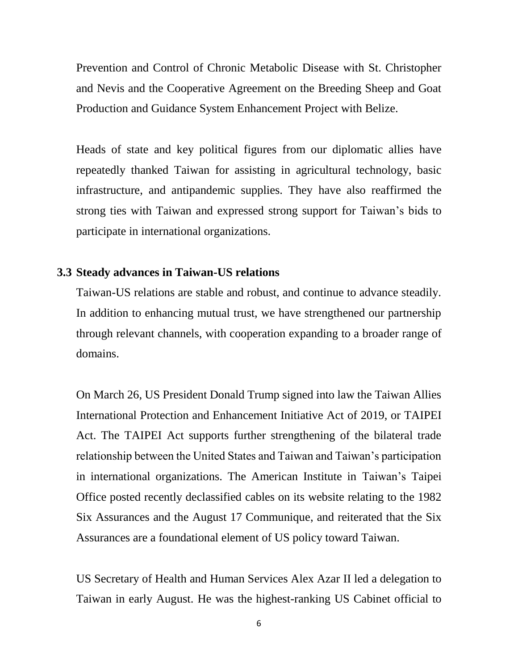Prevention and Control of Chronic Metabolic Disease with St. Christopher and Nevis and the Cooperative Agreement on the Breeding Sheep and Goat Production and Guidance System Enhancement Project with Belize.

Heads of state and key political figures from our diplomatic allies have repeatedly thanked Taiwan for assisting in agricultural technology, basic infrastructure, and antipandemic supplies. They have also reaffirmed the strong ties with Taiwan and expressed strong support for Taiwan's bids to participate in international organizations.

## **3.3 Steady advances in Taiwan-US relations**

Taiwan-US relations are stable and robust, and continue to advance steadily. In addition to enhancing mutual trust, we have strengthened our partnership through relevant channels, with cooperation expanding to a broader range of domains.

On March 26, US President Donald Trump signed into law the Taiwan Allies International Protection and Enhancement Initiative Act of 2019, or TAIPEI Act. The TAIPEI Act supports further strengthening of the bilateral trade relationship between the United States and Taiwan and Taiwan's participation in international organizations. The American Institute in Taiwan's Taipei Office posted recently declassified cables on its website relating to the 1982 Six Assurances and the August 17 Communique, and reiterated that the Six Assurances are a foundational element of US policy toward Taiwan.

US Secretary of Health and Human Services Alex Azar II led a delegation to Taiwan in early August. He was the highest-ranking US Cabinet official to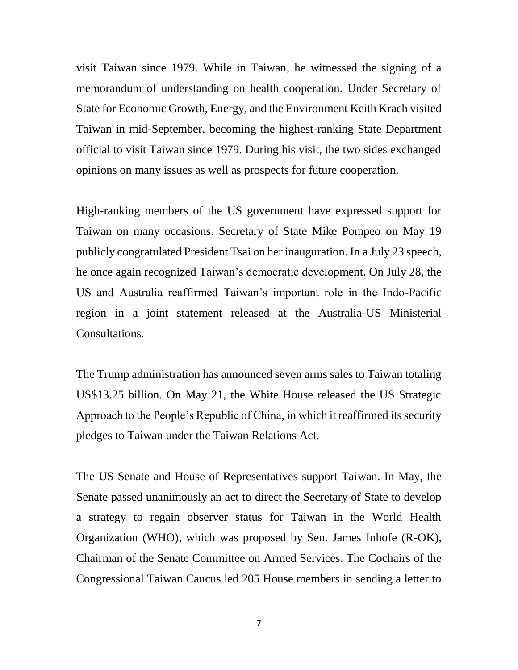visit Taiwan since 1979. While in Taiwan, he witnessed the signing of a memorandum of understanding on health cooperation. Under Secretary of State for Economic Growth, Energy, and the Environment Keith Krach visited Taiwan in mid-September, becoming the highest-ranking State Department official to visit Taiwan since 1979. During his visit, the two sides exchanged opinions on many issues as well as prospects for future cooperation.

High-ranking members of the US government have expressed support for Taiwan on many occasions. Secretary of State Mike Pompeo on May 19 publicly congratulated President Tsai on her inauguration. In a July 23 speech, he once again recognized Taiwan's democratic development. On July 28, the US and Australia reaffirmed Taiwan's important role in the Indo-Pacific region in a joint statement released at the Australia-US Ministerial Consultations.

The Trump administration has announced seven arms sales to Taiwan totaling US\$13.25 billion. On May 21, the White House released the US Strategic Approach to the People's Republic of China, in which it reaffirmed its security pledges to Taiwan under the Taiwan Relations Act.

The US Senate and House of Representatives support Taiwan. In May, the Senate passed unanimously an act to direct the Secretary of State to develop a strategy to regain observer status for Taiwan in the World Health Organization (WHO), which was proposed by Sen. James Inhofe (R-OK), Chairman of the Senate Committee on Armed Services. The Cochairs of the Congressional Taiwan Caucus led 205 House members in sending a letter to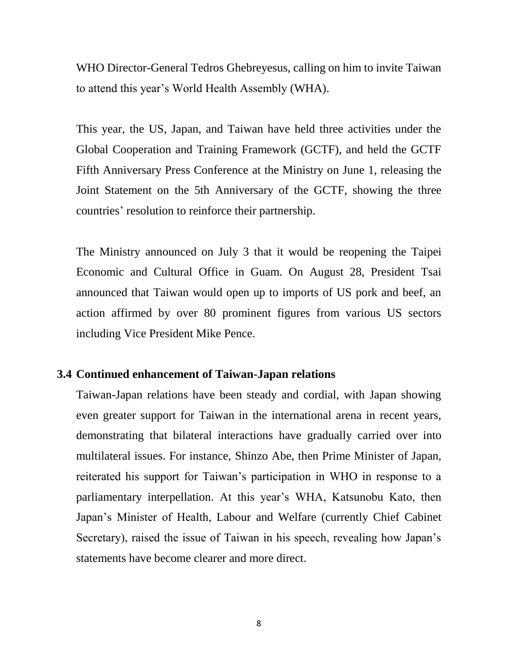WHO Director-General Tedros Ghebreyesus, calling on him to invite Taiwan to attend this year's World Health Assembly (WHA).

This year, the US, Japan, and Taiwan have held three activities under the Global Cooperation and Training Framework (GCTF), and held the GCTF Fifth Anniversary Press Conference at the Ministry on June 1, releasing the Joint Statement on the 5th Anniversary of the GCTF, showing the three countries' resolution to reinforce their partnership.

The Ministry announced on July 3 that it would be reopening the Taipei Economic and Cultural Office in Guam. On August 28, President Tsai announced that Taiwan would open up to imports of US pork and beef, an action affirmed by over 80 prominent figures from various US sectors including Vice President Mike Pence.

#### **3.4 Continued enhancement of Taiwan-Japan relations**

Taiwan-Japan relations have been steady and cordial, with Japan showing even greater support for Taiwan in the international arena in recent years, demonstrating that bilateral interactions have gradually carried over into multilateral issues. For instance, Shinzo Abe, then Prime Minister of Japan, reiterated his support for Taiwan's participation in WHO in response to a parliamentary interpellation. At this year's WHA, Katsunobu Kato, then Japan's Minister of Health, Labour and Welfare (currently Chief Cabinet Secretary), raised the issue of Taiwan in his speech, revealing how Japan's statements have become clearer and more direct.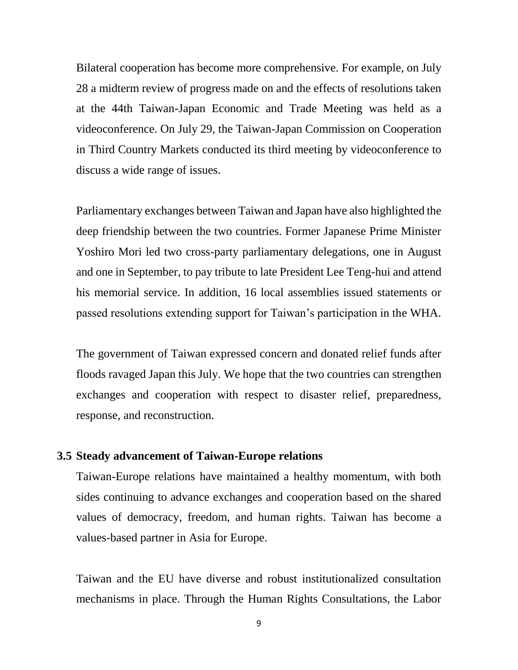Bilateral cooperation has become more comprehensive. For example, on July 28 a midterm review of progress made on and the effects of resolutions taken at the 44th Taiwan-Japan Economic and Trade Meeting was held as a videoconference. On July 29, the Taiwan-Japan Commission on Cooperation in Third Country Markets conducted its third meeting by videoconference to discuss a wide range of issues.

Parliamentary exchanges between Taiwan and Japan have also highlighted the deep friendship between the two countries. Former Japanese Prime Minister Yoshiro Mori led two cross-party parliamentary delegations, one in August and one in September, to pay tribute to late President Lee Teng-hui and attend his memorial service. In addition, 16 local assemblies issued statements or passed resolutions extending support for Taiwan's participation in the WHA.

The government of Taiwan expressed concern and donated relief funds after floods ravaged Japan this July. We hope that the two countries can strengthen exchanges and cooperation with respect to disaster relief, preparedness, response, and reconstruction.

#### **3.5 Steady advancement of Taiwan-Europe relations**

Taiwan-Europe relations have maintained a healthy momentum, with both sides continuing to advance exchanges and cooperation based on the shared values of democracy, freedom, and human rights. Taiwan has become a values-based partner in Asia for Europe.

Taiwan and the EU have diverse and robust institutionalized consultation mechanisms in place. Through the Human Rights Consultations, the Labor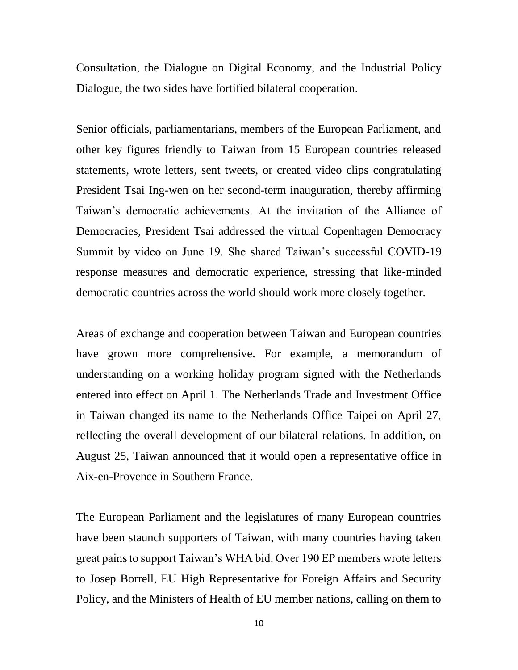Consultation, the Dialogue on Digital Economy, and the Industrial Policy Dialogue, the two sides have fortified bilateral cooperation.

Senior officials, parliamentarians, members of the European Parliament, and other key figures friendly to Taiwan from 15 European countries released statements, wrote letters, sent tweets, or created video clips congratulating President Tsai Ing-wen on her second-term inauguration, thereby affirming Taiwan's democratic achievements. At the invitation of the Alliance of Democracies, President Tsai addressed the virtual Copenhagen Democracy Summit by video on June 19. She shared Taiwan's successful COVID-19 response measures and democratic experience, stressing that like-minded democratic countries across the world should work more closely together.

Areas of exchange and cooperation between Taiwan and European countries have grown more comprehensive. For example, a memorandum of understanding on a working holiday program signed with the Netherlands entered into effect on April 1. The Netherlands Trade and Investment Office in Taiwan changed its name to the Netherlands Office Taipei on April 27, reflecting the overall development of our bilateral relations. In addition, on August 25, Taiwan announced that it would open a representative office in Aix-en-Provence in Southern France.

The European Parliament and the legislatures of many European countries have been staunch supporters of Taiwan, with many countries having taken great pains to support Taiwan's WHA bid. Over 190 EP members wrote letters to Josep Borrell, EU High Representative for Foreign Affairs and Security Policy, and the Ministers of Health of EU member nations, calling on them to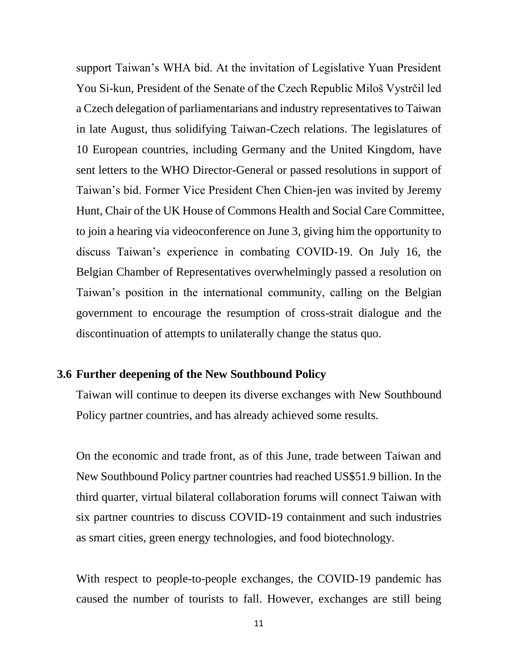support Taiwan's WHA bid. At the invitation of Legislative Yuan President You Si-kun, President of the Senate of the Czech Republic Miloš Vystrčil led a Czech delegation of parliamentarians and industry representatives to Taiwan in late August, thus solidifying Taiwan-Czech relations. The legislatures of 10 European countries, including Germany and the United Kingdom, have sent letters to the WHO Director-General or passed resolutions in support of Taiwan's bid. Former Vice President Chen Chien-jen was invited by Jeremy Hunt, Chair of the UK House of Commons Health and Social Care Committee, to join a hearing via videoconference on June 3, giving him the opportunity to discuss Taiwan's experience in combating COVID-19. On July 16, the Belgian Chamber of Representatives overwhelmingly passed a resolution on Taiwan's position in the international community, calling on the Belgian government to encourage the resumption of cross-strait dialogue and the discontinuation of attempts to unilaterally change the status quo.

#### **3.6 Further deepening of the New Southbound Policy**

Taiwan will continue to deepen its diverse exchanges with New Southbound Policy partner countries, and has already achieved some results.

On the economic and trade front, as of this June, trade between Taiwan and New Southbound Policy partner countries had reached US\$51.9 billion. In the third quarter, virtual bilateral collaboration forums will connect Taiwan with six partner countries to discuss COVID-19 containment and such industries as smart cities, green energy technologies, and food biotechnology.

With respect to people-to-people exchanges, the COVID-19 pandemic has caused the number of tourists to fall. However, exchanges are still being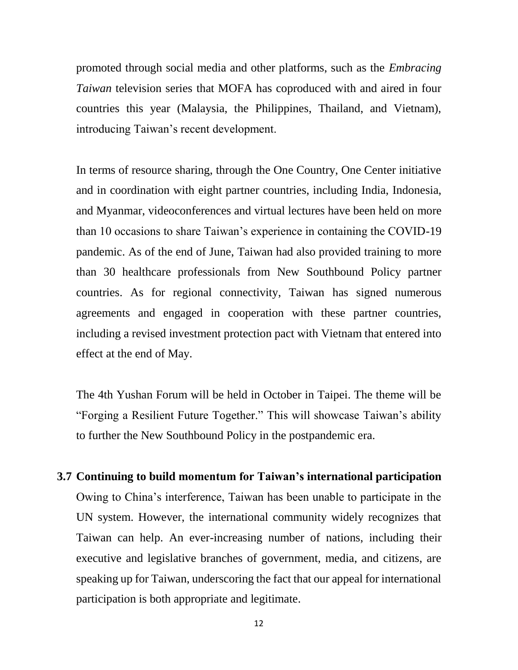promoted through social media and other platforms, such as the *Embracing Taiwan* television series that MOFA has coproduced with and aired in four countries this year (Malaysia, the Philippines, Thailand, and Vietnam), introducing Taiwan's recent development.

In terms of resource sharing, through the One Country, One Center initiative and in coordination with eight partner countries, including India, Indonesia, and Myanmar, videoconferences and virtual lectures have been held on more than 10 occasions to share Taiwan's experience in containing the COVID-19 pandemic. As of the end of June, Taiwan had also provided training to more than 30 healthcare professionals from New Southbound Policy partner countries. As for regional connectivity, Taiwan has signed numerous agreements and engaged in cooperation with these partner countries, including a revised investment protection pact with Vietnam that entered into effect at the end of May.

The 4th Yushan Forum will be held in October in Taipei. The theme will be "Forging a Resilient Future Together." This will showcase Taiwan's ability to further the New Southbound Policy in the postpandemic era.

**3.7 Continuing to build momentum for Taiwan's international participation** Owing to China's interference, Taiwan has been unable to participate in the UN system. However, the international community widely recognizes that Taiwan can help. An ever-increasing number of nations, including their executive and legislative branches of government, media, and citizens, are speaking up for Taiwan, underscoring the fact that our appeal for international participation is both appropriate and legitimate.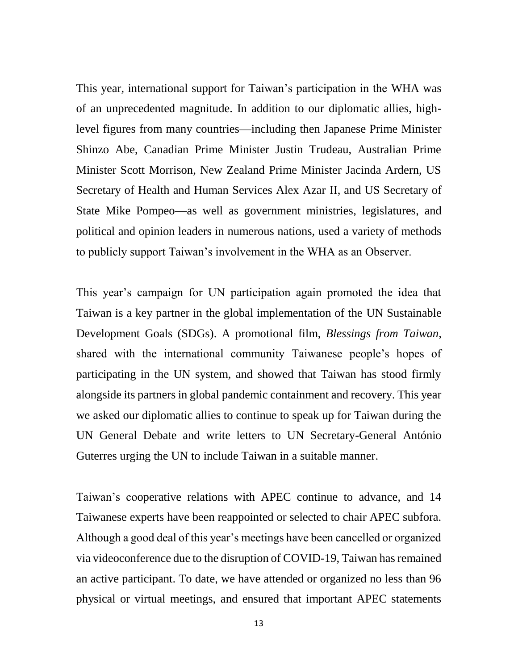This year, international support for Taiwan's participation in the WHA was of an unprecedented magnitude. In addition to our diplomatic allies, highlevel figures from many countries—including then Japanese Prime Minister Shinzo Abe, Canadian Prime Minister Justin Trudeau, Australian Prime Minister Scott Morrison, New Zealand Prime Minister Jacinda Ardern, US Secretary of Health and Human Services Alex Azar II, and US Secretary of State Mike Pompeo—as well as government ministries, legislatures, and political and opinion leaders in numerous nations, used a variety of methods to publicly support Taiwan's involvement in the WHA as an Observer.

This year's campaign for UN participation again promoted the idea that Taiwan is a key partner in the global implementation of the UN Sustainable Development Goals (SDGs). A promotional film, *Blessings from Taiwan*, shared with the international community Taiwanese people's hopes of participating in the UN system, and showed that Taiwan has stood firmly alongside its partners in global pandemic containment and recovery. This year we asked our diplomatic allies to continue to speak up for Taiwan during the UN General Debate and write letters to UN Secretary-General António Guterres urging the UN to include Taiwan in a suitable manner.

Taiwan's cooperative relations with APEC continue to advance, and 14 Taiwanese experts have been reappointed or selected to chair APEC subfora. Although a good deal of this year's meetings have been cancelled or organized via videoconference due to the disruption of COVID-19, Taiwan has remained an active participant. To date, we have attended or organized no less than 96 physical or virtual meetings, and ensured that important APEC statements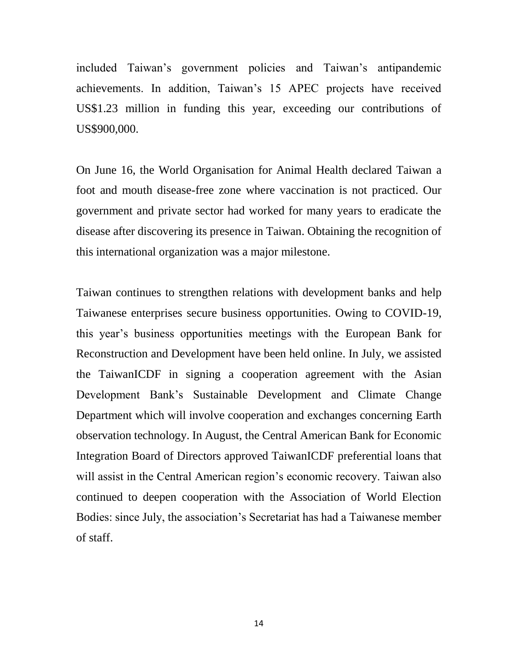included Taiwan's government policies and Taiwan's antipandemic achievements. In addition, Taiwan's 15 APEC projects have received US\$1.23 million in funding this year, exceeding our contributions of US\$900,000.

On June 16, the World Organisation for Animal Health declared Taiwan a foot and mouth disease-free zone where vaccination is not practiced. Our government and private sector had worked for many years to eradicate the disease after discovering its presence in Taiwan. Obtaining the recognition of this international organization was a major milestone.

Taiwan continues to strengthen relations with development banks and help Taiwanese enterprises secure business opportunities. Owing to COVID-19, this year's business opportunities meetings with the European Bank for Reconstruction and Development have been held online. In July, we assisted the TaiwanICDF in signing a cooperation agreement with the Asian Development Bank's Sustainable Development and Climate Change Department which will involve cooperation and exchanges concerning Earth observation technology. In August, the Central American Bank for Economic Integration Board of Directors approved TaiwanICDF preferential loans that will assist in the Central American region's economic recovery. Taiwan also continued to deepen cooperation with the Association of World Election Bodies: since July, the association's Secretariat has had a Taiwanese member of staff.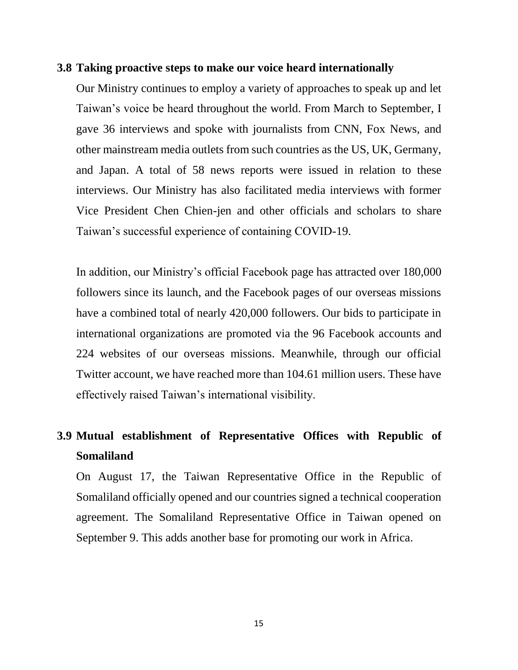#### **3.8 Taking proactive steps to make our voice heard internationally**

Our Ministry continues to employ a variety of approaches to speak up and let Taiwan's voice be heard throughout the world. From March to September, I gave 36 interviews and spoke with journalists from CNN, Fox News, and other mainstream media outlets from such countries as the US, UK, Germany, and Japan. A total of 58 news reports were issued in relation to these interviews. Our Ministry has also facilitated media interviews with former Vice President Chen Chien-jen and other officials and scholars to share Taiwan's successful experience of containing COVID-19.

In addition, our Ministry's official Facebook page has attracted over 180,000 followers since its launch, and the Facebook pages of our overseas missions have a combined total of nearly 420,000 followers. Our bids to participate in international organizations are promoted via the 96 Facebook accounts and 224 websites of our overseas missions. Meanwhile, through our official Twitter account, we have reached more than 104.61 million users. These have effectively raised Taiwan's international visibility.

# **3.9 Mutual establishment of Representative Offices with Republic of Somaliland**

On August 17, the Taiwan Representative Office in the Republic of Somaliland officially opened and our countries signed a technical cooperation agreement. The Somaliland Representative Office in Taiwan opened on September 9. This adds another base for promoting our work in Africa.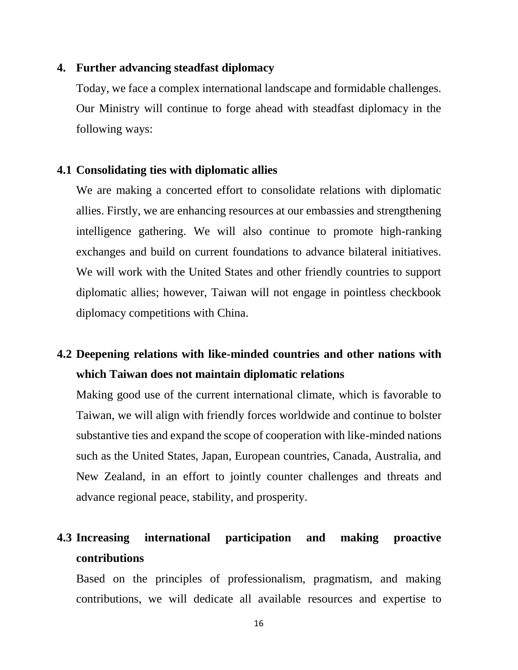### **4. Further advancing steadfast diplomacy**

Today, we face a complex international landscape and formidable challenges. Our Ministry will continue to forge ahead with steadfast diplomacy in the following ways:

## **4.1 Consolidating ties with diplomatic allies**

We are making a concerted effort to consolidate relations with diplomatic allies. Firstly, we are enhancing resources at our embassies and strengthening intelligence gathering. We will also continue to promote high-ranking exchanges and build on current foundations to advance bilateral initiatives. We will work with the United States and other friendly countries to support diplomatic allies; however, Taiwan will not engage in pointless checkbook diplomacy competitions with China.

# **4.2 Deepening relations with like-minded countries and other nations with which Taiwan does not maintain diplomatic relations**

Making good use of the current international climate, which is favorable to Taiwan, we will align with friendly forces worldwide and continue to bolster substantive ties and expand the scope of cooperation with like-minded nations such as the United States, Japan, European countries, Canada, Australia, and New Zealand, in an effort to jointly counter challenges and threats and advance regional peace, stability, and prosperity.

# **4.3 Increasing international participation and making proactive contributions**

Based on the principles of professionalism, pragmatism, and making contributions, we will dedicate all available resources and expertise to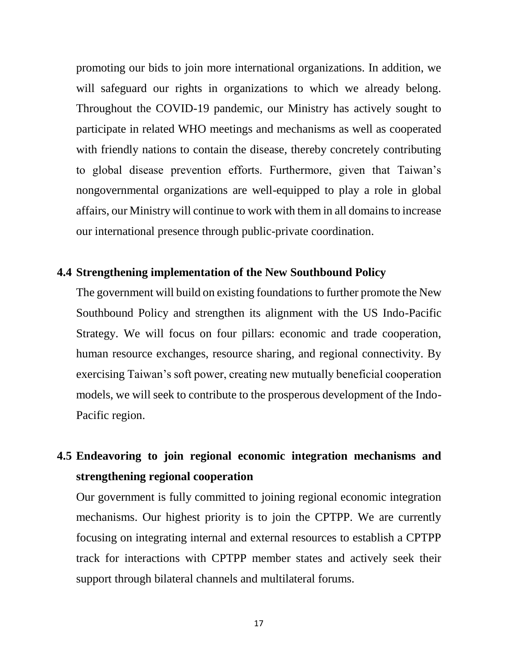promoting our bids to join more international organizations. In addition, we will safeguard our rights in organizations to which we already belong. Throughout the COVID-19 pandemic, our Ministry has actively sought to participate in related WHO meetings and mechanisms as well as cooperated with friendly nations to contain the disease, thereby concretely contributing to global disease prevention efforts. Furthermore, given that Taiwan's nongovernmental organizations are well-equipped to play a role in global affairs, our Ministry will continue to work with them in all domains to increase our international presence through public-private coordination.

## **4.4 Strengthening implementation of the New Southbound Policy**

The government will build on existing foundations to further promote the New Southbound Policy and strengthen its alignment with the US Indo-Pacific Strategy. We will focus on four pillars: economic and trade cooperation, human resource exchanges, resource sharing, and regional connectivity. By exercising Taiwan's soft power, creating new mutually beneficial cooperation models, we will seek to contribute to the prosperous development of the Indo-Pacific region.

# **4.5 Endeavoring to join regional economic integration mechanisms and strengthening regional cooperation**

Our government is fully committed to joining regional economic integration mechanisms. Our highest priority is to join the CPTPP. We are currently focusing on integrating internal and external resources to establish a CPTPP track for interactions with CPTPP member states and actively seek their support through bilateral channels and multilateral forums.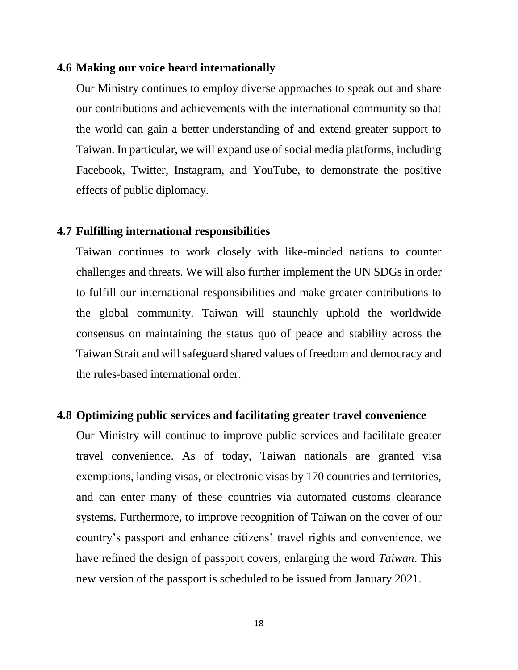#### **4.6 Making our voice heard internationally**

Our Ministry continues to employ diverse approaches to speak out and share our contributions and achievements with the international community so that the world can gain a better understanding of and extend greater support to Taiwan. In particular, we will expand use of social media platforms, including Facebook, Twitter, Instagram, and YouTube, to demonstrate the positive effects of public diplomacy.

#### **4.7 Fulfilling international responsibilities**

Taiwan continues to work closely with like-minded nations to counter challenges and threats. We will also further implement the UN SDGs in order to fulfill our international responsibilities and make greater contributions to the global community. Taiwan will staunchly uphold the worldwide consensus on maintaining the status quo of peace and stability across the Taiwan Strait and will safeguard shared values of freedom and democracy and the rules-based international order.

#### **4.8 Optimizing public services and facilitating greater travel convenience**

Our Ministry will continue to improve public services and facilitate greater travel convenience. As of today, Taiwan nationals are granted visa exemptions, landing visas, or electronic visas by 170 countries and territories, and can enter many of these countries via automated customs clearance systems. Furthermore, to improve recognition of Taiwan on the cover of our country's passport and enhance citizens' travel rights and convenience, we have refined the design of passport covers, enlarging the word *Taiwan*. This new version of the passport is scheduled to be issued from January 2021.